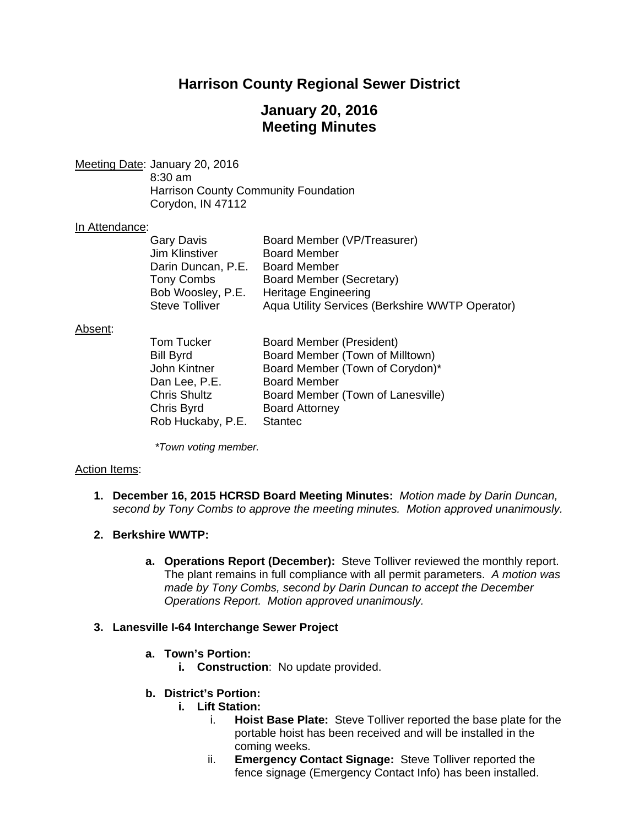# **Harrison County Regional Sewer District**

## **January 20, 2016 Meeting Minutes**

Meeting Date: January 20, 2016 8:30 am Harrison County Community Foundation Corydon, IN 47112

## In Attendance:

| Gary Davis            | Board Member (VP/Treasurer)                     |
|-----------------------|-------------------------------------------------|
| Jim Klinstiver        | <b>Board Member</b>                             |
| Darin Duncan, P.E.    | <b>Board Member</b>                             |
| Tony Combs            | Board Member (Secretary)                        |
| Bob Woosley, P.E.     | <b>Heritage Engineering</b>                     |
| <b>Steve Tolliver</b> | Aqua Utility Services (Berkshire WWTP Operator) |

#### Absent:

| <b>Tom Tucker</b>   | Board Member (President)          |
|---------------------|-----------------------------------|
| <b>Bill Byrd</b>    | Board Member (Town of Milltown)   |
| John Kintner        | Board Member (Town of Corydon)*   |
| Dan Lee, P.E.       | <b>Board Member</b>               |
| <b>Chris Shultz</b> | Board Member (Town of Lanesville) |
| Chris Byrd          | <b>Board Attorney</b>             |
| Rob Huckaby, P.E.   | <b>Stantec</b>                    |

*\*Town voting member.* 

## Action Items:

**1. December 16, 2015 HCRSD Board Meeting Minutes:** *Motion made by Darin Duncan, second by Tony Combs to approve the meeting minutes. Motion approved unanimously.*

## **2. Berkshire WWTP:**

**a. Operations Report (December):** Steve Tolliver reviewed the monthly report. The plant remains in full compliance with all permit parameters. *A motion was made by Tony Combs, second by Darin Duncan to accept the December Operations Report. Motion approved unanimously.*

## **3. Lanesville I-64 Interchange Sewer Project**

- **a. Town's Portion:**
	- **i. Construction**: No update provided.

## **b. District's Portion:**

- **i. Lift Station:**
	- i. **Hoist Base Plate:** Steve Tolliver reported the base plate for the portable hoist has been received and will be installed in the coming weeks.
	- ii. **Emergency Contact Signage:** Steve Tolliver reported the fence signage (Emergency Contact Info) has been installed.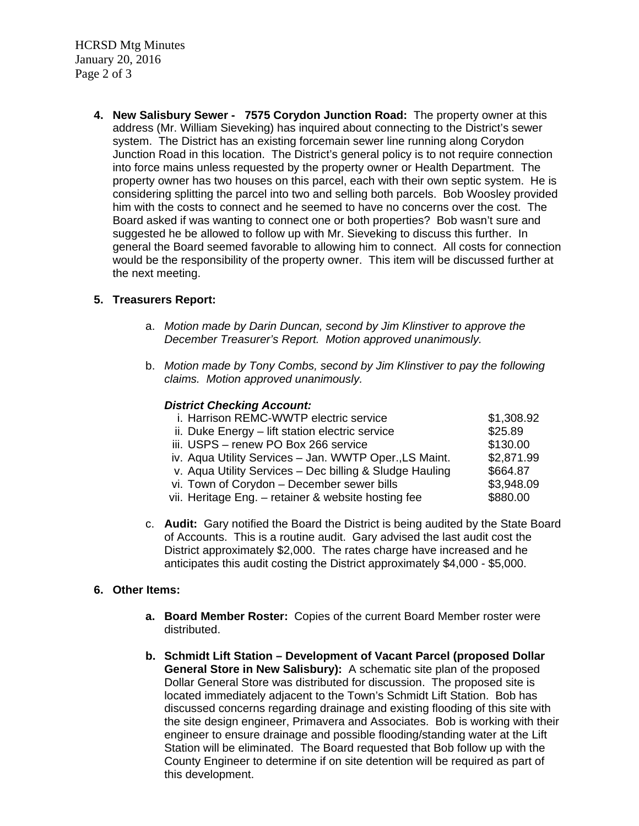HCRSD Mtg Minutes January 20, 2016 Page 2 of 3

> **4. New Salisbury Sewer - 7575 Corydon Junction Road:** The property owner at this address (Mr. William Sieveking) has inquired about connecting to the District's sewer system. The District has an existing forcemain sewer line running along Corydon Junction Road in this location. The District's general policy is to not require connection into force mains unless requested by the property owner or Health Department. The property owner has two houses on this parcel, each with their own septic system. He is considering splitting the parcel into two and selling both parcels. Bob Woosley provided him with the costs to connect and he seemed to have no concerns over the cost. The Board asked if was wanting to connect one or both properties? Bob wasn't sure and suggested he be allowed to follow up with Mr. Sieveking to discuss this further. In general the Board seemed favorable to allowing him to connect. All costs for connection would be the responsibility of the property owner. This item will be discussed further at the next meeting.

## **5. Treasurers Report:**

- a. *Motion made by Darin Duncan, second by Jim Klinstiver to approve the December Treasurer's Report. Motion approved unanimously.*
- b. *Motion made by Tony Combs, second by Jim Klinstiver to pay the following claims. Motion approved unanimously.*

## *District Checking Account:*

| i. Harrison REMC-WWTP electric service                  | \$1,308.92 |
|---------------------------------------------------------|------------|
| ii. Duke Energy – lift station electric service         | \$25.89    |
| iii. USPS - renew PO Box 266 service                    | \$130.00   |
| iv. Aqua Utility Services - Jan. WWTP Oper., LS Maint.  | \$2,871.99 |
| v. Aqua Utility Services - Dec billing & Sludge Hauling | \$664.87   |
| vi. Town of Corydon - December sewer bills              | \$3,948.09 |
| vii. Heritage Eng. - retainer & website hosting fee     | \$880.00   |
|                                                         |            |

c. **Audit:** Gary notified the Board the District is being audited by the State Board of Accounts. This is a routine audit. Gary advised the last audit cost the District approximately \$2,000. The rates charge have increased and he anticipates this audit costing the District approximately \$4,000 - \$5,000.

## **6. Other Items:**

- **a. Board Member Roster:** Copies of the current Board Member roster were distributed.
- **b. Schmidt Lift Station Development of Vacant Parcel (proposed Dollar General Store in New Salisbury):** A schematic site plan of the proposed Dollar General Store was distributed for discussion. The proposed site is located immediately adjacent to the Town's Schmidt Lift Station. Bob has discussed concerns regarding drainage and existing flooding of this site with the site design engineer, Primavera and Associates. Bob is working with their engineer to ensure drainage and possible flooding/standing water at the Lift Station will be eliminated. The Board requested that Bob follow up with the County Engineer to determine if on site detention will be required as part of this development.